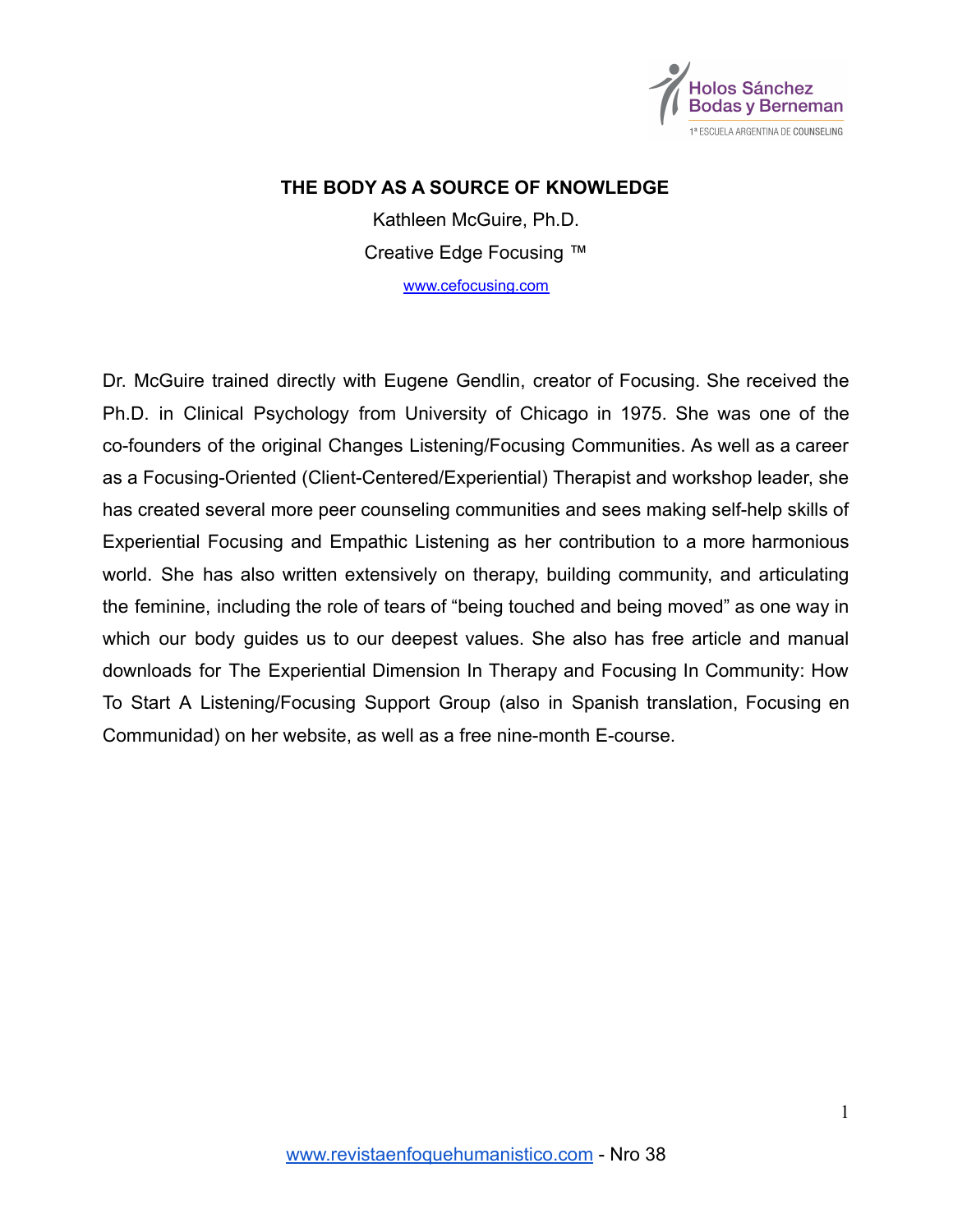

## **THE BODY AS A SOURCE OF KNOWLEDGE**

Kathleen McGuire, Ph.D. Creative Edge Focusing ™

[www.cefocusing.com](http://www.cefocusing.com)

Dr. McGuire trained directly with Eugene Gendlin, creator of Focusing. She received the Ph.D. in Clinical Psychology from University of Chicago in 1975. She was one of the co-founders of the original Changes Listening/Focusing Communities. As well as a career as a Focusing-Oriented (Client-Centered/Experiential) Therapist and workshop leader, she has created several more peer counseling communities and sees making self-help skills of Experiential Focusing and Empathic Listening as her contribution to a more harmonious world. She has also written extensively on therapy, building community, and articulating the feminine, including the role of tears of "being touched and being moved" as one way in which our body guides us to our deepest values. She also has free article and manual downloads for The Experiential Dimension In Therapy and Focusing In Community: How To Start A Listening/Focusing Support Group (also in Spanish translation, Focusing en Communidad) on her website, as well as a free nine-month E-course.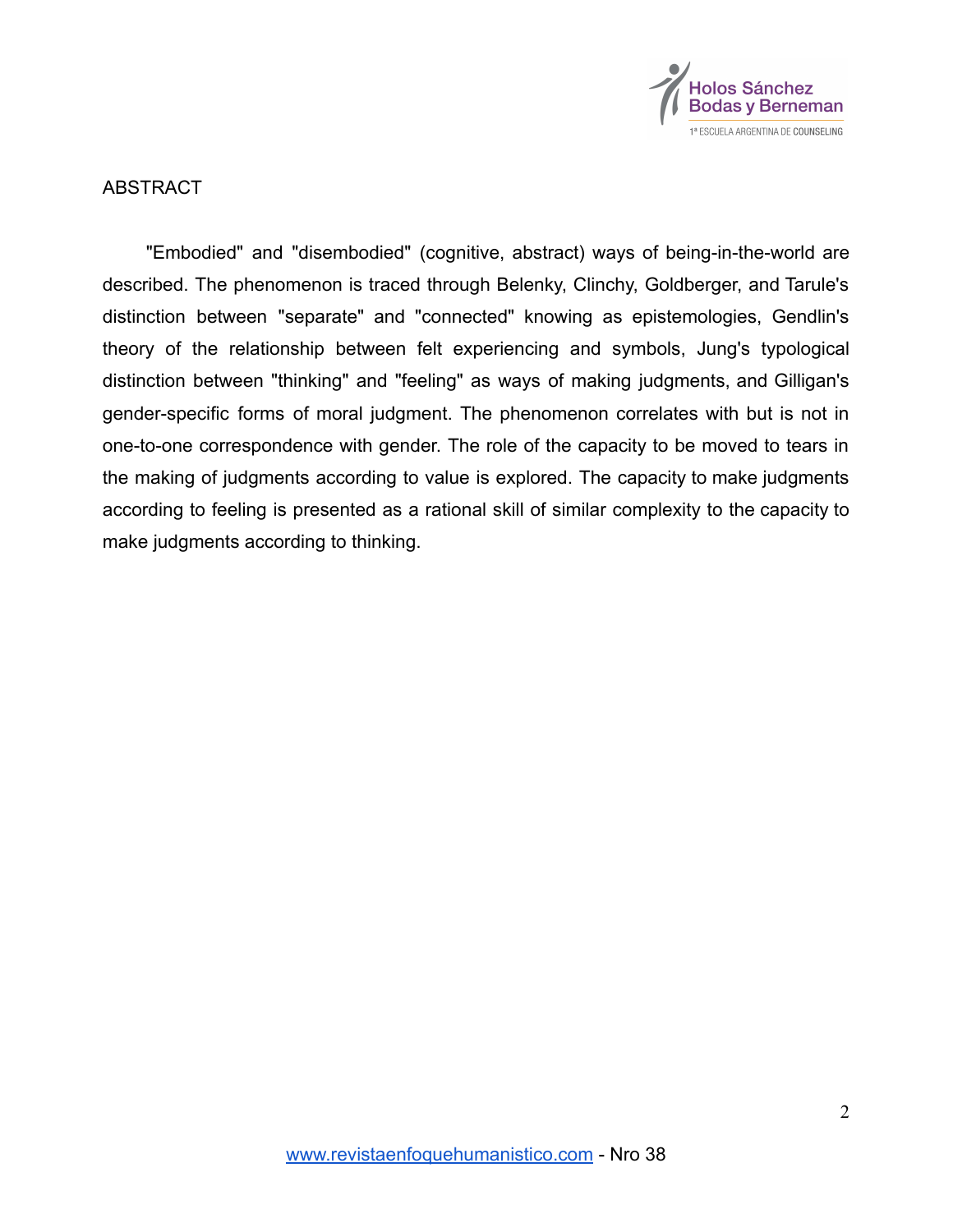

## ABSTRACT

"Embodied" and "disembodied" (cognitive, abstract) ways of being-in-the-world are described. The phenomenon is traced through Belenky, Clinchy, Goldberger, and Tarule's distinction between "separate" and "connected" knowing as epistemologies, Gendlin's theory of the relationship between felt experiencing and symbols, Jung's typological distinction between "thinking" and "feeling" as ways of making judgments, and Gilligan's gender-specific forms of moral judgment. The phenomenon correlates with but is not in one-to-one correspondence with gender. The role of the capacity to be moved to tears in the making of judgments according to value is explored. The capacity to make judgments according to feeling is presented as a rational skill of similar complexity to the capacity to make judgments according to thinking.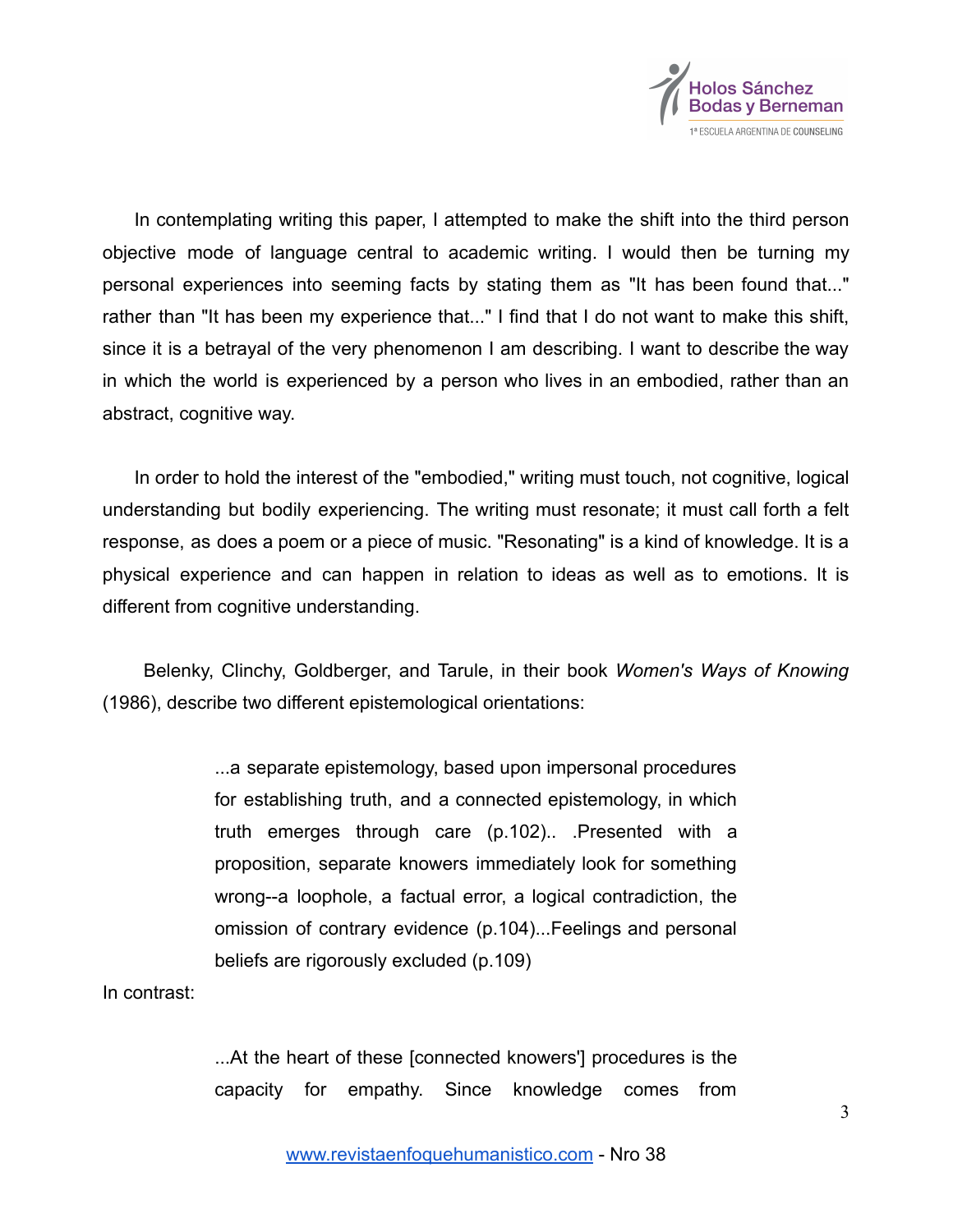

In contemplating writing this paper, I attempted to make the shift into the third person objective mode of language central to academic writing. I would then be turning my personal experiences into seeming facts by stating them as "It has been found that..." rather than "It has been my experience that..." I find that I do not want to make this shift, since it is a betrayal of the very phenomenon I am describing. I want to describe the way in which the world is experienced by a person who lives in an embodied, rather than an abstract, cognitive way.

In order to hold the interest of the "embodied," writing must touch, not cognitive, logical understanding but bodily experiencing. The writing must resonate; it must call forth a felt response, as does a poem or a piece of music. "Resonating" is a kind of knowledge. It is a physical experience and can happen in relation to ideas as well as to emotions. It is different from cognitive understanding.

Belenky, Clinchy, Goldberger, and Tarule, in their book *Women's Ways of Knowing* (1986), describe two different epistemological orientations:

> ...a separate epistemology, based upon impersonal procedures for establishing truth, and a connected epistemology, in which truth emerges through care (p.102).. .Presented with a proposition, separate knowers immediately look for something wrong--a loophole, a factual error, a logical contradiction, the omission of contrary evidence (p.104)...Feelings and personal beliefs are rigorously excluded (p.109)

In contrast:

...At the heart of these [connected knowers'] procedures is the capacity for empathy. Since knowledge comes from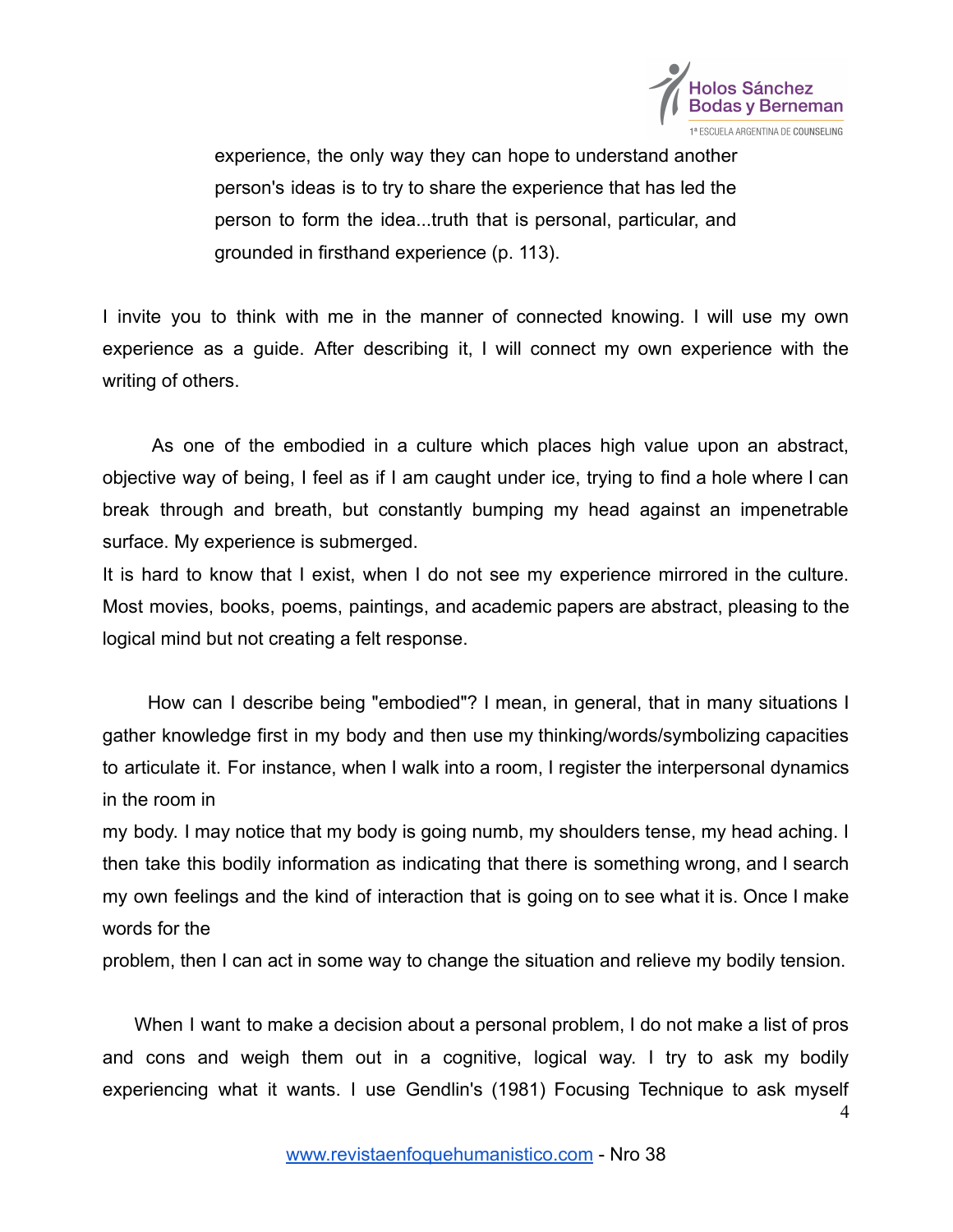

experience, the only way they can hope to understand another person's ideas is to try to share the experience that has led the person to form the idea...truth that is personal, particular, and grounded in firsthand experience (p. 113).

I invite you to think with me in the manner of connected knowing. I will use my own experience as a guide. After describing it, I will connect my own experience with the writing of others.

As one of the embodied in a culture which places high value upon an abstract, objective way of being, I feel as if I am caught under ice, trying to find a hole where I can break through and breath, but constantly bumping my head against an impenetrable surface. My experience is submerged.

It is hard to know that I exist, when I do not see my experience mirrored in the culture. Most movies, books, poems, paintings, and academic papers are abstract, pleasing to the logical mind but not creating a felt response.

How can I describe being "embodied"? I mean, in general, that in many situations I gather knowledge first in my body and then use my thinking/words/symbolizing capacities to articulate it. For instance, when I walk into a room, I register the interpersonal dynamics in the room in

my body. I may notice that my body is going numb, my shoulders tense, my head aching. I then take this bodily information as indicating that there is something wrong, and I search my own feelings and the kind of interaction that is going on to see what it is. Once I make words for the

problem, then I can act in some way to change the situation and relieve my bodily tension.

When I want to make a decision about a personal problem, I do not make a list of pros and cons and weigh them out in a cognitive, logical way. I try to ask my bodily experiencing what it wants. I use Gendlin's (1981) Focusing Technique to ask myself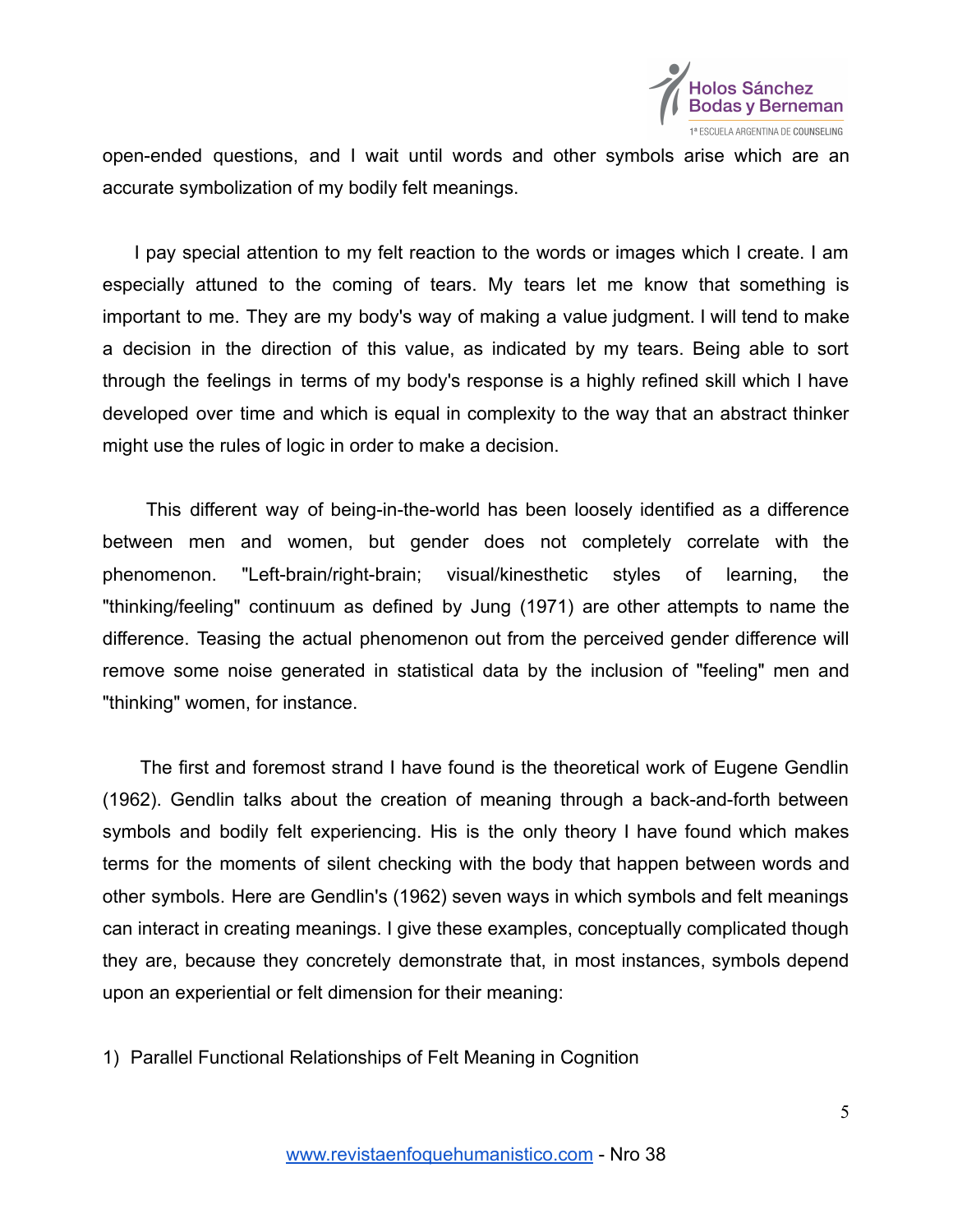

open-ended questions, and I wait until words and other symbols arise which are an accurate symbolization of my bodily felt meanings.

I pay special attention to my felt reaction to the words or images which I create. I am especially attuned to the coming of tears. My tears let me know that something is important to me. They are my body's way of making a value judgment. I will tend to make a decision in the direction of this value, as indicated by my tears. Being able to sort through the feelings in terms of my body's response is a highly refined skill which I have developed over time and which is equal in complexity to the way that an abstract thinker might use the rules of logic in order to make a decision.

This different way of being-in-the-world has been loosely identified as a difference between men and women, but gender does not completely correlate with the phenomenon. "Left-brain/right-brain; visual/kinesthetic styles of learning, the "thinking/feeling" continuum as defined by Jung (1971) are other attempts to name the difference. Teasing the actual phenomenon out from the perceived gender difference will remove some noise generated in statistical data by the inclusion of "feeling" men and "thinking" women, for instance.

The first and foremost strand I have found is the theoretical work of Eugene Gendlin (1962). Gendlin talks about the creation of meaning through a back-and-forth between symbols and bodily felt experiencing. His is the only theory I have found which makes terms for the moments of silent checking with the body that happen between words and other symbols. Here are Gendlin's (1962) seven ways in which symbols and felt meanings can interact in creating meanings. I give these examples, conceptually complicated though they are, because they concretely demonstrate that, in most instances, symbols depend upon an experiential or felt dimension for their meaning:

1) Parallel Functional Relationships of Felt Meaning in Cognition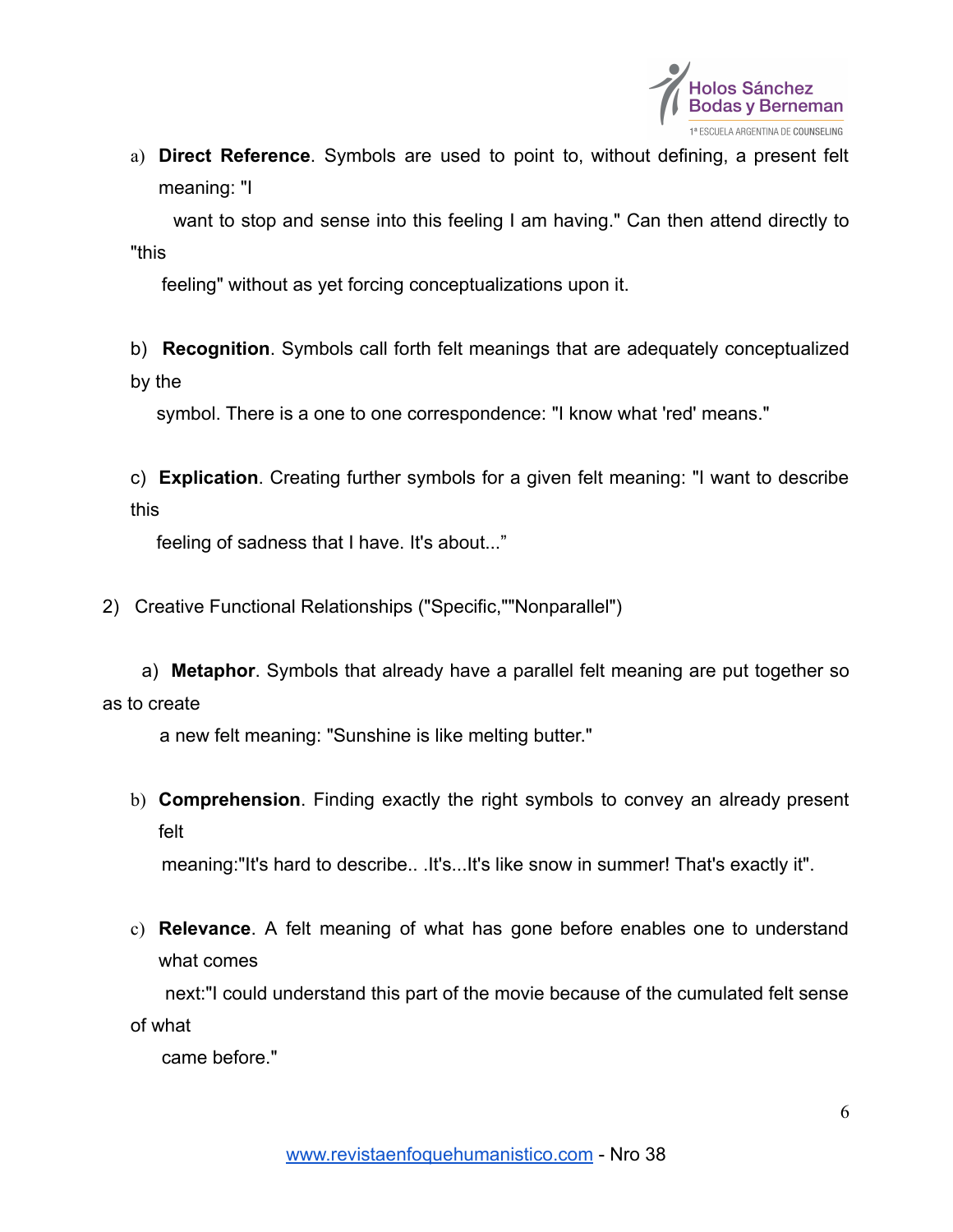

a) **Direct Reference**. Symbols are used to point to, without defining, a present felt meaning: "I

want to stop and sense into this feeling I am having." Can then attend directly to "this

feeling" without as yet forcing conceptualizations upon it.

b) **Recognition**. Symbols call forth felt meanings that are adequately conceptualized by the

symbol. There is a one to one correspondence: "I know what 'red' means."

c) **Explication**. Creating further symbols for a given felt meaning: "I want to describe this

feeling of sadness that I have. It's about..."

2) Creative Functional Relationships ("Specific,""Nonparallel")

a) **Metaphor**. Symbols that already have a parallel felt meaning are put together so as to create

a new felt meaning: "Sunshine is like melting butter."

b) **Comprehension**. Finding exactly the right symbols to convey an already present felt

meaning:"It's hard to describe.. .It's...It's like snow in summer! That's exactly it".

c) **Relevance**. A felt meaning of what has gone before enables one to understand what comes

next:"I could understand this part of the movie because of the cumulated felt sense of what

came before."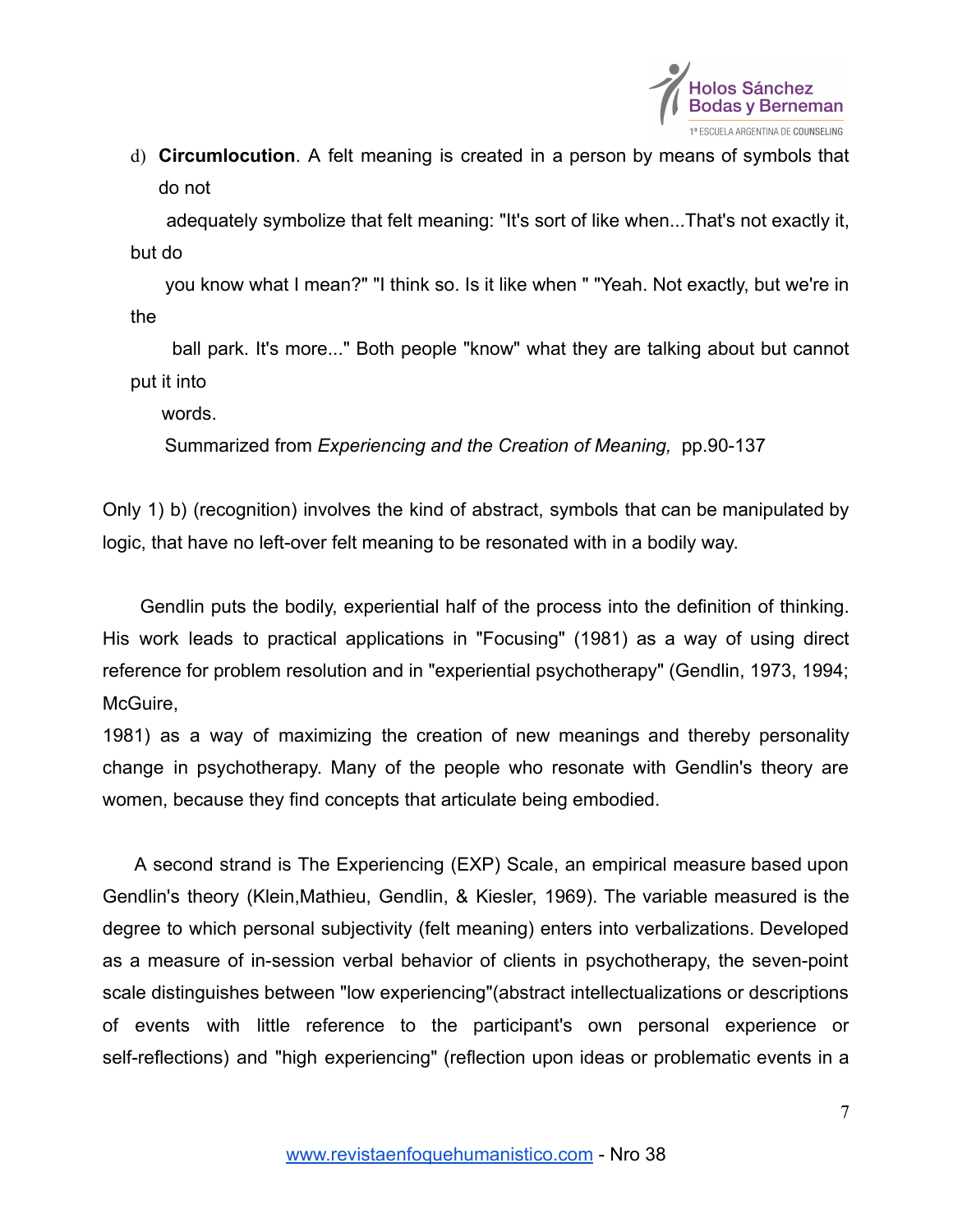

d) **Circumlocution**. A felt meaning is created in a person by means of symbols that do not

adequately symbolize that felt meaning: "It's sort of like when...That's not exactly it, but do

you know what I mean?" "I think so. Is it like when " "Yeah. Not exactly, but we're in the

ball park. It's more..." Both people "know" what they are talking about but cannot put it into

words.

Summarized from *Experiencing and the Creation of Meaning,* pp.90-137

Only 1) b) (recognition) involves the kind of abstract, symbols that can be manipulated by logic, that have no left-over felt meaning to be resonated with in a bodily way.

Gendlin puts the bodily, experiential half of the process into the definition of thinking. His work leads to practical applications in "Focusing" (1981) as a way of using direct reference for problem resolution and in "experiential psychotherapy" (Gendlin, 1973, 1994; McGuire.

1981) as a way of maximizing the creation of new meanings and thereby personality change in psychotherapy. Many of the people who resonate with Gendlin's theory are women, because they find concepts that articulate being embodied.

A second strand is The Experiencing (EXP) Scale, an empirical measure based upon Gendlin's theory (Klein,Mathieu, Gendlin, & Kiesler, 1969). The variable measured is the degree to which personal subjectivity (felt meaning) enters into verbalizations. Developed as a measure of in-session verbal behavior of clients in psychotherapy, the seven-point scale distinguishes between "low experiencing"(abstract intellectualizations or descriptions of events with little reference to the participant's own personal experience or self-reflections) and "high experiencing" (reflection upon ideas or problematic events in a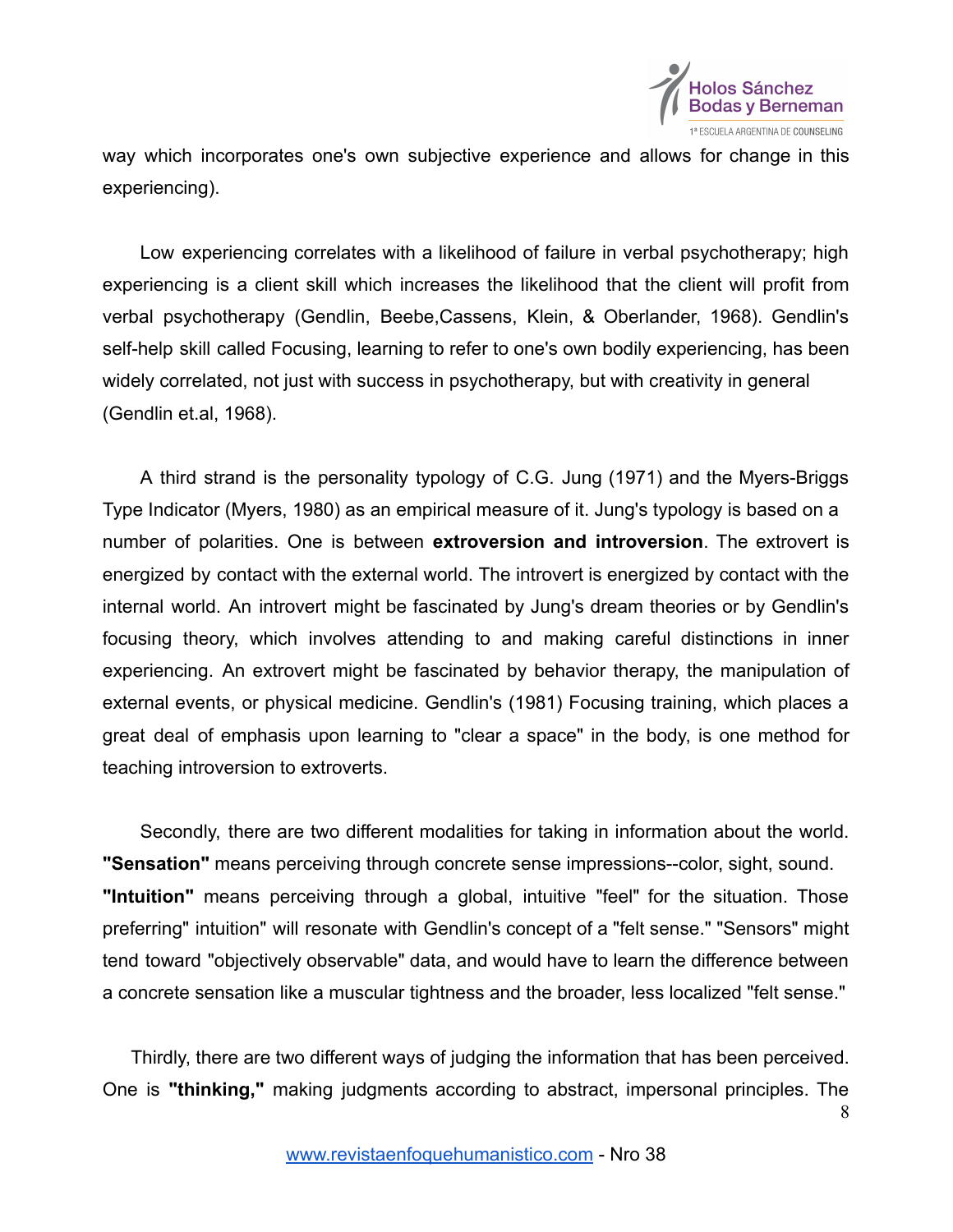

way which incorporates one's own subjective experience and allows for change in this experiencing).

Low experiencing correlates with a likelihood of failure in verbal psychotherapy; high experiencing is a client skill which increases the likelihood that the client will profit from verbal psychotherapy (Gendlin, Beebe,Cassens, Klein, & Oberlander, 1968). Gendlin's self-help skill called Focusing, learning to refer to one's own bodily experiencing, has been widely correlated, not just with success in psychotherapy, but with creativity in general (Gendlin et.al, 1968).

A third strand is the personality typology of C.G. Jung (1971) and the Myers-Briggs Type Indicator (Myers, 1980) as an empirical measure of it. Jung's typology is based on a number of polarities. One is between **extroversion and introversion**. The extrovert is energized by contact with the external world. The introvert is energized by contact with the internal world. An introvert might be fascinated by Jung's dream theories or by Gendlin's focusing theory, which involves attending to and making careful distinctions in inner experiencing. An extrovert might be fascinated by behavior therapy, the manipulation of external events, or physical medicine. Gendlin's (1981) Focusing training, which places a great deal of emphasis upon learning to "clear a space" in the body, is one method for teaching introversion to extroverts.

Secondly, there are two different modalities for taking in information about the world. **"Sensation"** means perceiving through concrete sense impressions--color, sight, sound. **"Intuition"** means perceiving through a global, intuitive "feel" for the situation. Those preferring" intuition" will resonate with Gendlin's concept of a "felt sense." "Sensors" might tend toward "objectively observable" data, and would have to learn the difference between a concrete sensation like a muscular tightness and the broader, less localized "felt sense."

Thirdly, there are two different ways of judging the information that has been perceived. One is **"thinking,"** making judgments according to abstract, impersonal principles. The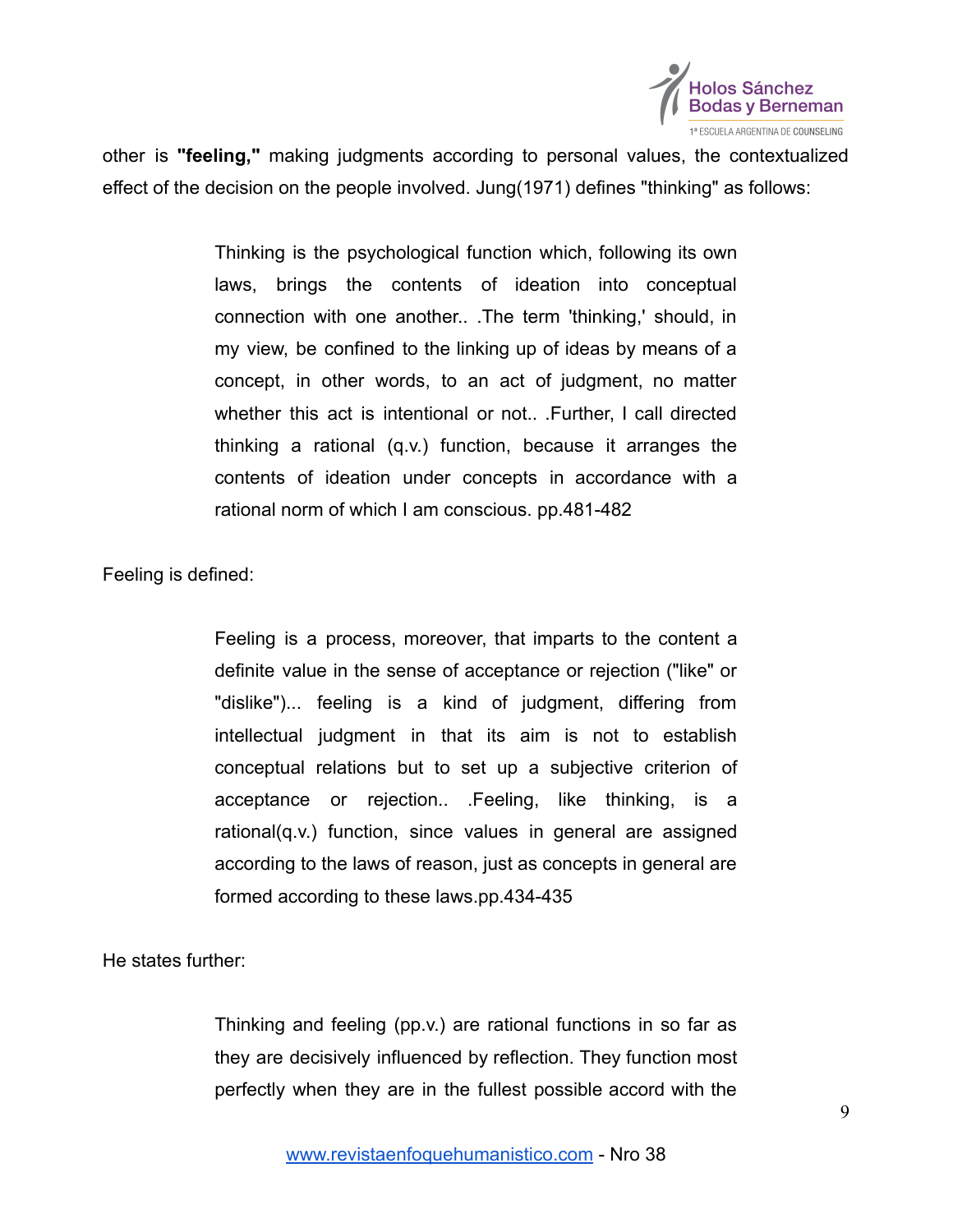

other is **"feeling,"** making judgments according to personal values, the contextualized effect of the decision on the people involved. Jung(1971) defines "thinking" as follows:

> Thinking is the psychological function which, following its own laws, brings the contents of ideation into conceptual connection with one another.. .The term 'thinking,' should, in my view, be confined to the linking up of ideas by means of a concept, in other words, to an act of judgment, no matter whether this act is intentional or not.. .Further, I call directed thinking a rational (q.v.) function, because it arranges the contents of ideation under concepts in accordance with a rational norm of which I am conscious. pp.481-482

Feeling is defined:

Feeling is a process, moreover, that imparts to the content a definite value in the sense of acceptance or rejection ("like" or "dislike")... feeling is a kind of judgment, differing from intellectual judgment in that its aim is not to establish conceptual relations but to set up a subjective criterion of acceptance or rejection.. .Feeling, like thinking, is a rational(q.v.) function, since values in general are assigned according to the laws of reason, just as concepts in general are formed according to these laws.pp.434-435

He states further:

Thinking and feeling (pp.v.) are rational functions in so far as they are decisively influenced by reflection. They function most perfectly when they are in the fullest possible accord with the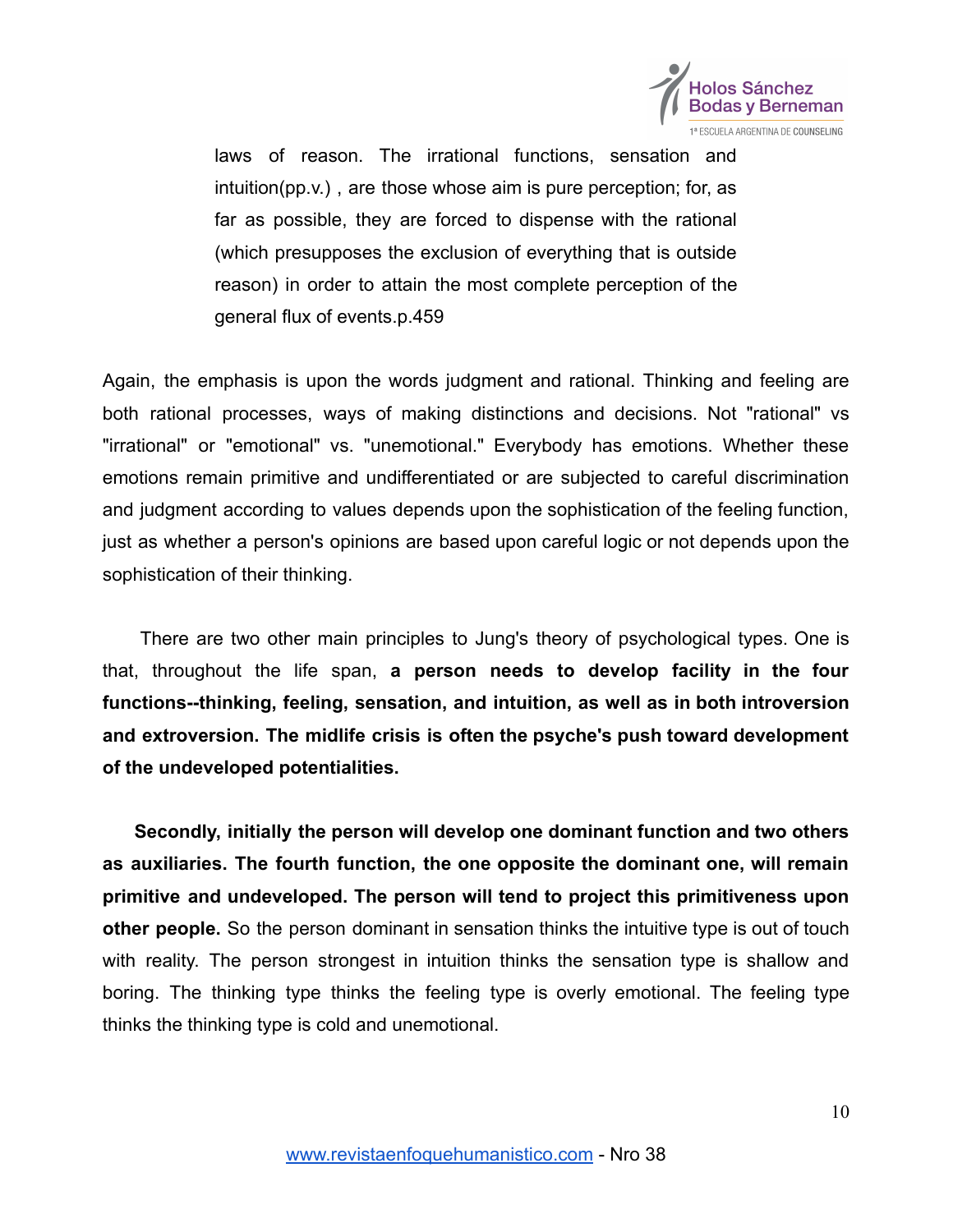

laws of reason. The irrational functions, sensation and intuition(pp.v.) , are those whose aim is pure perception; for, as far as possible, they are forced to dispense with the rational (which presupposes the exclusion of everything that is outside reason) in order to attain the most complete perception of the general flux of events.p.459

Again, the emphasis is upon the words judgment and rational. Thinking and feeling are both rational processes, ways of making distinctions and decisions. Not "rational" vs "irrational" or "emotional" vs. "unemotional." Everybody has emotions. Whether these emotions remain primitive and undifferentiated or are subjected to careful discrimination and judgment according to values depends upon the sophistication of the feeling function, just as whether a person's opinions are based upon careful logic or not depends upon the sophistication of their thinking.

There are two other main principles to Jung's theory of psychological types. One is that, throughout the life span, **a person needs to develop facility in the four functions--thinking, feeling, sensation, and intuition, as well as in both introversion and extroversion. The midlife crisis is often the psyche's push toward development of the undeveloped potentialities.**

**Secondly, initially the person will develop one dominant function and two others as auxiliaries. The fourth function, the one opposite the dominant one, will remain primitive and undeveloped. The person will tend to project this primitiveness upon other people.** So the person dominant in sensation thinks the intuitive type is out of touch with reality. The person strongest in intuition thinks the sensation type is shallow and boring. The thinking type thinks the feeling type is overly emotional. The feeling type thinks the thinking type is cold and unemotional.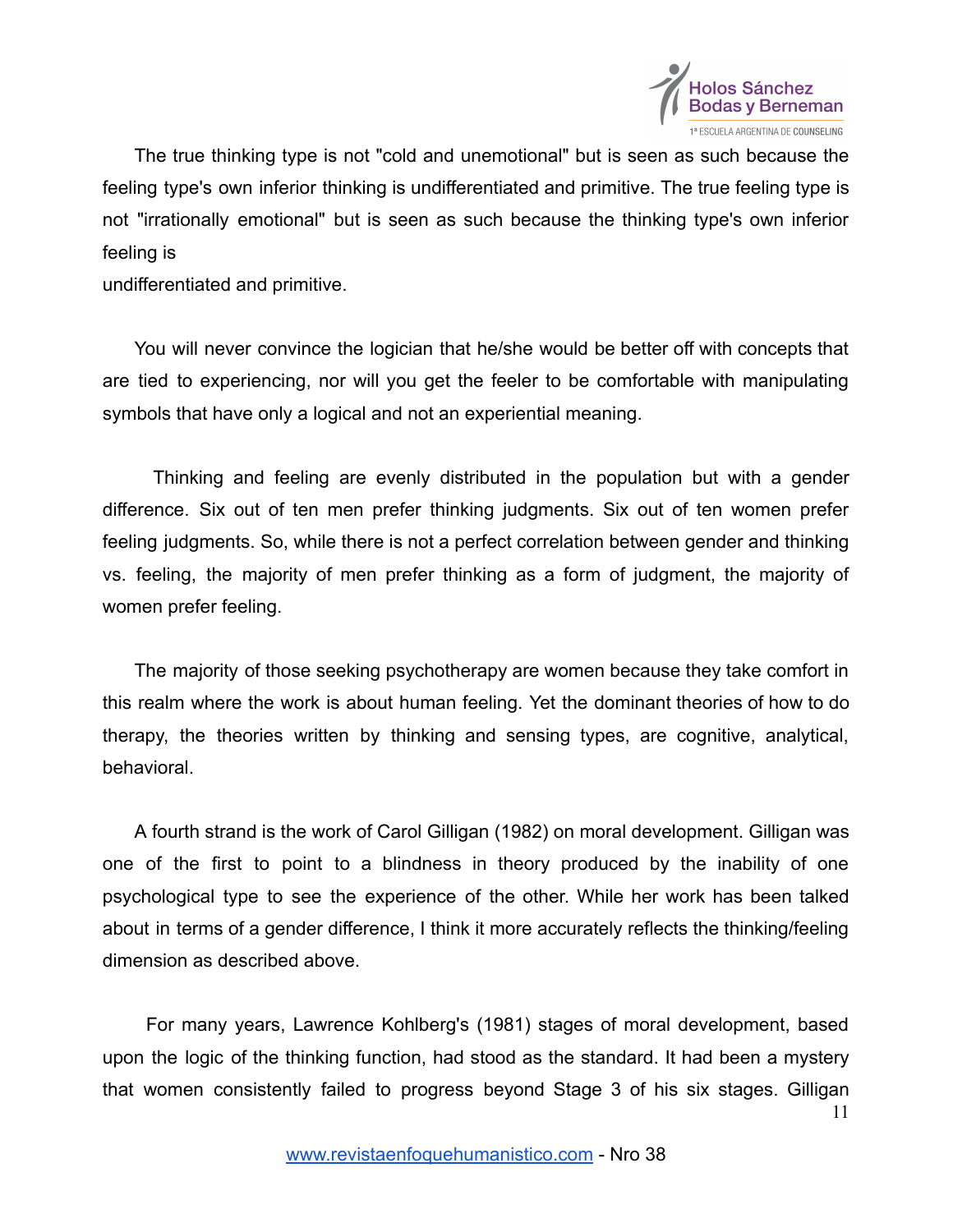

The true thinking type is not "cold and unemotional" but is seen as such because the feeling type's own inferior thinking is undifferentiated and primitive. The true feeling type is not "irrationally emotional" but is seen as such because the thinking type's own inferior feeling is

undifferentiated and primitive.

You will never convince the logician that he/she would be better off with concepts that are tied to experiencing, nor will you get the feeler to be comfortable with manipulating symbols that have only a logical and not an experiential meaning.

Thinking and feeling are evenly distributed in the population but with a gender difference. Six out of ten men prefer thinking judgments. Six out of ten women prefer feeling judgments. So, while there is not a perfect correlation between gender and thinking vs. feeling, the majority of men prefer thinking as a form of judgment, the majority of women prefer feeling.

The majority of those seeking psychotherapy are women because they take comfort in this realm where the work is about human feeling. Yet the dominant theories of how to do therapy, the theories written by thinking and sensing types, are cognitive, analytical, behavioral.

A fourth strand is the work of Carol Gilligan (1982) on moral development. Gilligan was one of the first to point to a blindness in theory produced by the inability of one psychological type to see the experience of the other. While her work has been talked about in terms of a gender difference, I think it more accurately reflects the thinking/feeling dimension as described above.

For many years, Lawrence Kohlberg's (1981) stages of moral development, based upon the logic of the thinking function, had stood as the standard. It had been a mystery that women consistently failed to progress beyond Stage 3 of his six stages. Gilligan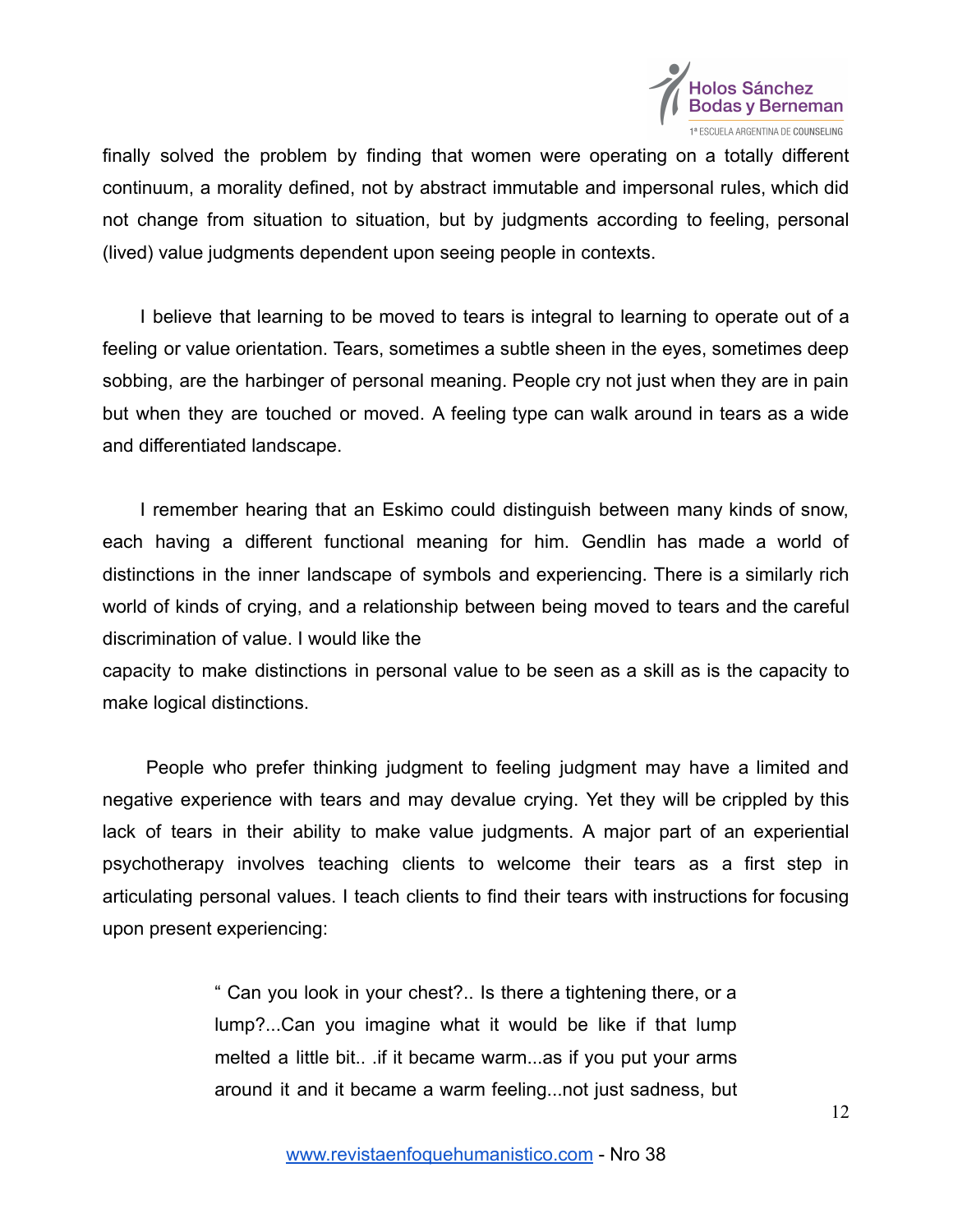

finally solved the problem by finding that women were operating on a totally different continuum, a morality defined, not by abstract immutable and impersonal rules, which did not change from situation to situation, but by judgments according to feeling, personal (lived) value judgments dependent upon seeing people in contexts.

I believe that learning to be moved to tears is integral to learning to operate out of a feeling or value orientation. Tears, sometimes a subtle sheen in the eyes, sometimes deep sobbing, are the harbinger of personal meaning. People cry not just when they are in pain but when they are touched or moved. A feeling type can walk around in tears as a wide and differentiated landscape.

I remember hearing that an Eskimo could distinguish between many kinds of snow, each having a different functional meaning for him. Gendlin has made a world of distinctions in the inner landscape of symbols and experiencing. There is a similarly rich world of kinds of crying, and a relationship between being moved to tears and the careful discrimination of value. I would like the

capacity to make distinctions in personal value to be seen as a skill as is the capacity to make logical distinctions.

People who prefer thinking judgment to feeling judgment may have a limited and negative experience with tears and may devalue crying. Yet they will be crippled by this lack of tears in their ability to make value judgments. A major part of an experiential psychotherapy involves teaching clients to welcome their tears as a first step in articulating personal values. I teach clients to find their tears with instructions for focusing upon present experiencing:

> " Can you look in your chest?.. Is there a tightening there, or a lump?...Can you imagine what it would be like if that lump melted a little bit.. .if it became warm...as if you put your arms around it and it became a warm feeling...not just sadness, but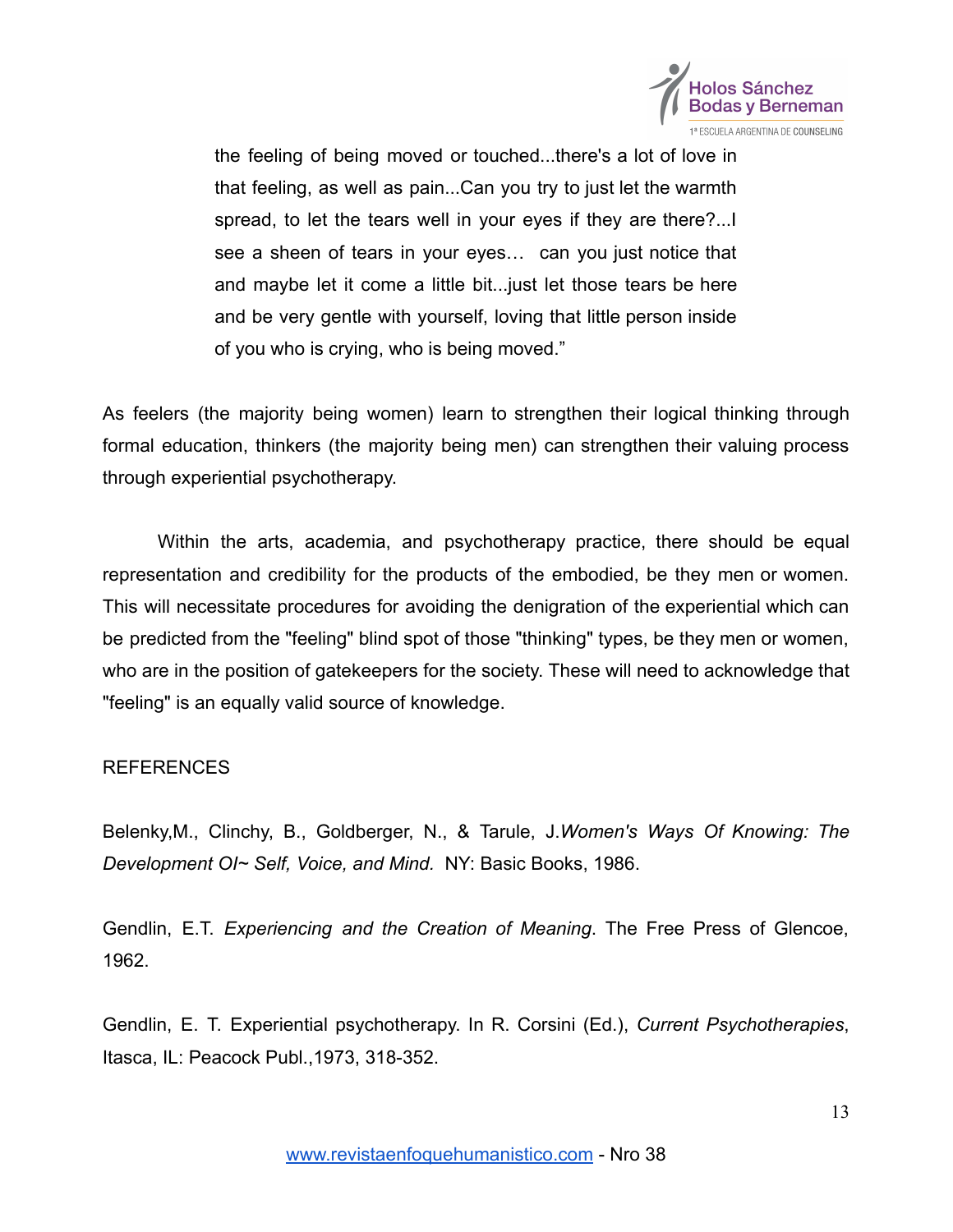

the feeling of being moved or touched...there's a lot of love in that feeling, as well as pain...Can you try to just let the warmth spread, to let the tears well in your eyes if they are there?...I see a sheen of tears in your eyes… can you just notice that and maybe let it come a little bit...just let those tears be here and be very gentle with yourself, loving that little person inside of you who is crying, who is being moved."

As feelers (the majority being women) learn to strengthen their logical thinking through formal education, thinkers (the majority being men) can strengthen their valuing process through experiential psychotherapy.

Within the arts, academia, and psychotherapy practice, there should be equal representation and credibility for the products of the embodied, be they men or women. This will necessitate procedures for avoiding the denigration of the experiential which can be predicted from the "feeling" blind spot of those "thinking" types, be they men or women, who are in the position of gatekeepers for the society. These will need to acknowledge that "feeling" is an equally valid source of knowledge.

## REFERENCES

Belenky,M., Clinchy, B., Goldberger, N., & Tarule, J.*Women's Ways Of Knowing: The Development OI~ Self, Voice, and Mind.* NY: Basic Books, 1986.

Gendlin, E.T. *Experiencing and the Creation of Meaning*. The Free Press of Glencoe, 1962.

Gendlin, E. T. Experiential psychotherapy. In R. Corsini (Ed.), *Current Psychotherapies*, Itasca, IL: Peacock Publ.,1973, 318-352.